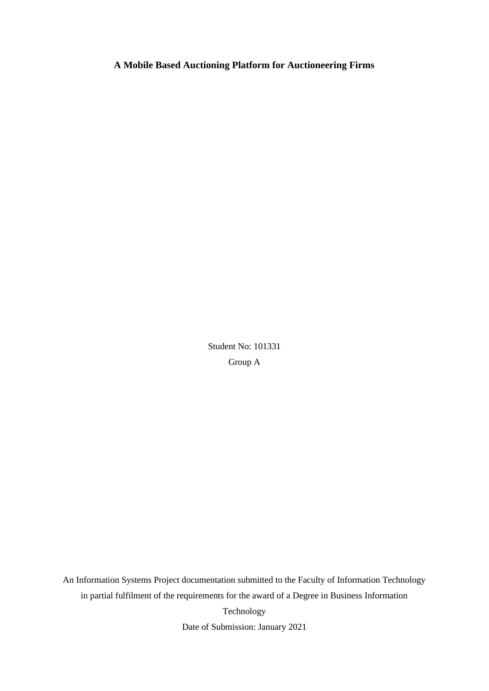# **A Mobile Based Auctioning Platform for Auctioneering Firms**

Student No: 101331 Group A

An Information Systems Project documentation submitted to the Faculty of Information Technology in partial fulfilment of the requirements for the award of a Degree in Business Information Technology Date of Submission: January 2021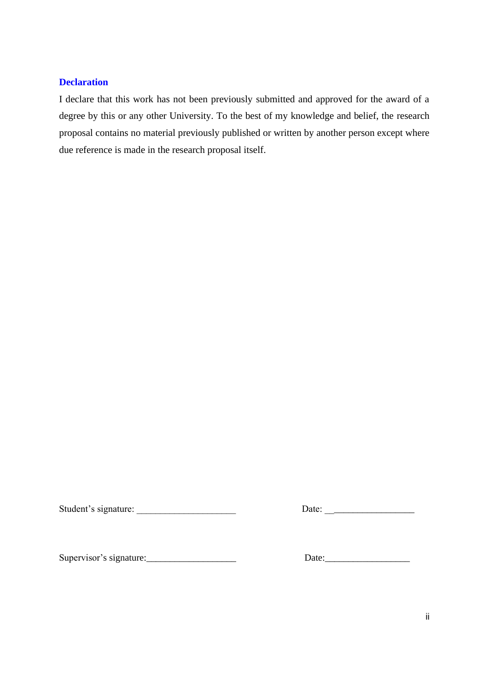# **Declaration**

I declare that this work has not been previously submitted and approved for the award of a degree by this or any other University. To the best of my knowledge and belief, the research proposal contains no material previously published or written by another person except where due reference is made in the research proposal itself.

Student's signature: \_\_\_\_\_\_\_\_\_\_\_\_\_\_\_\_\_\_\_\_\_ Date: \_\_\_\_\_\_\_\_\_\_\_\_\_\_\_\_\_\_\_

Supervisor's signature:\_\_\_\_\_\_\_\_\_\_\_\_\_\_\_\_\_\_\_ Date:\_\_\_\_\_\_\_\_\_\_\_\_\_\_\_\_\_\_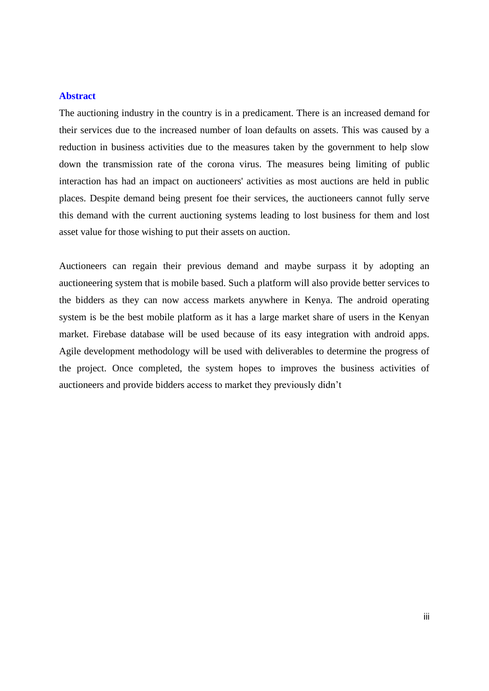## **Abstract**

The auctioning industry in the country is in a predicament. There is an increased demand for their services due to the increased number of loan defaults on assets. This was caused by a reduction in business activities due to the measures taken by the government to help slow down the transmission rate of the corona virus. The measures being limiting of public interaction has had an impact on auctioneers' activities as most auctions are held in public places. Despite demand being present foe their services, the auctioneers cannot fully serve this demand with the current auctioning systems leading to lost business for them and lost asset value for those wishing to put their assets on auction.

Auctioneers can regain their previous demand and maybe surpass it by adopting an auctioneering system that is mobile based. Such a platform will also provide better services to the bidders as they can now access markets anywhere in Kenya. The android operating system is be the best mobile platform as it has a large market share of users in the Kenyan market. Firebase database will be used because of its easy integration with android apps. Agile development methodology will be used with deliverables to determine the progress of the project. Once completed, the system hopes to improves the business activities of auctioneers and provide bidders access to market they previously didn't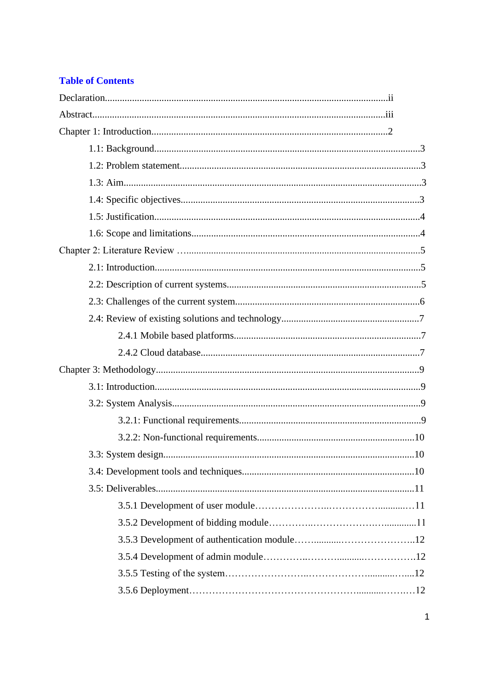# **Table of Contents**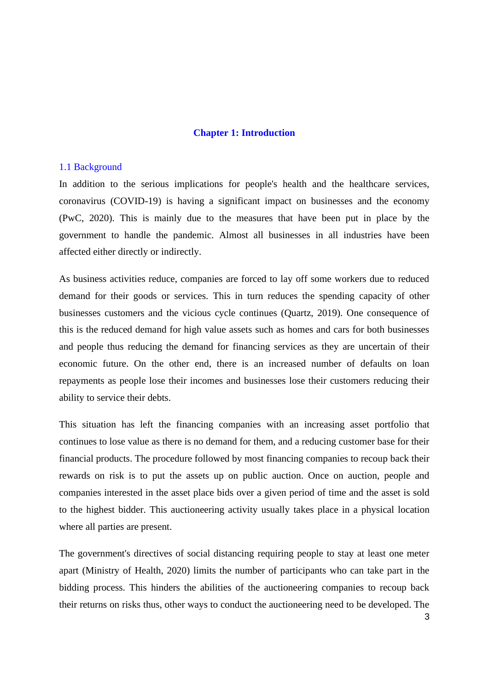#### **Chapter 1: Introduction**

#### 1.1 Background

In addition to the serious implications for people's health and the healthcare services, coronavirus (COVID-19) is having a significant impact on businesses and the economy (PwC, 2020). This is mainly due to the measures that have been put in place by the government to handle the pandemic. Almost all businesses in all industries have been affected either directly or indirectly.

As business activities reduce, companies are forced to lay off some workers due to reduced demand for their goods or services. This in turn reduces the spending capacity of other businesses customers and the vicious cycle continues (Quartz, 2019). One consequence of this is the reduced demand for high value assets such as homes and cars for both businesses and people thus reducing the demand for financing services as they are uncertain of their economic future. On the other end, there is an increased number of defaults on loan repayments as people lose their incomes and businesses lose their customers reducing their ability to service their debts.

This situation has left the financing companies with an increasing asset portfolio that continues to lose value as there is no demand for them, and a reducing customer base for their financial products. The procedure followed by most financing companies to recoup back their rewards on risk is to put the assets up on public auction. Once on auction, people and companies interested in the asset place bids over a given period of time and the asset is sold to the highest bidder. This auctioneering activity usually takes place in a physical location where all parties are present.

The government's directives of social distancing requiring people to stay at least one meter apart (Ministry of Health, 2020) limits the number of participants who can take part in the bidding process. This hinders the abilities of the auctioneering companies to recoup back their returns on risks thus, other ways to conduct the auctioneering need to be developed. The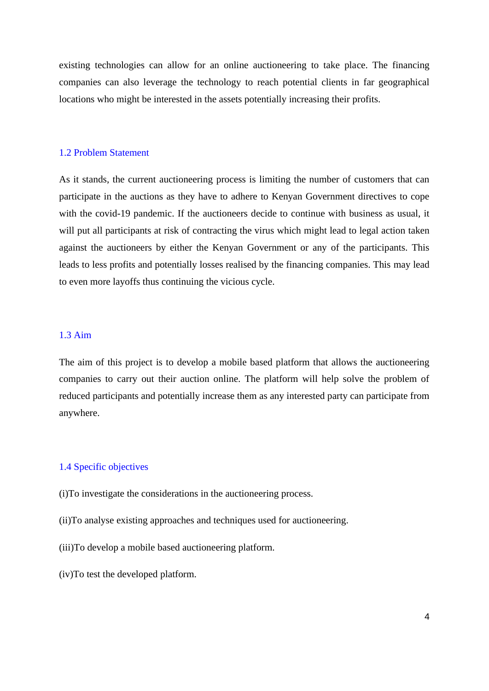existing technologies can allow for an online auctioneering to take place. The financing companies can also leverage the technology to reach potential clients in far geographical locations who might be interested in the assets potentially increasing their profits.

#### 1.2 Problem Statement

As it stands, the current auctioneering process is limiting the number of customers that can participate in the auctions as they have to adhere to Kenyan Government directives to cope with the covid-19 pandemic. If the auctioneers decide to continue with business as usual, it will put all participants at risk of contracting the virus which might lead to legal action taken against the auctioneers by either the Kenyan Government or any of the participants. This leads to less profits and potentially losses realised by the financing companies. This may lead to even more layoffs thus continuing the vicious cycle.

#### 1.3 Aim

The aim of this project is to develop a mobile based platform that allows the auctioneering companies to carry out their auction online. The platform will help solve the problem of reduced participants and potentially increase them as any interested party can participate from anywhere.

## 1.4 Specific objectives

(i)To investigate the considerations in the auctioneering process.

- (ii)To analyse existing approaches and techniques used for auctioneering.
- (iii)To develop a mobile based auctioneering platform.
- (iv)To test the developed platform.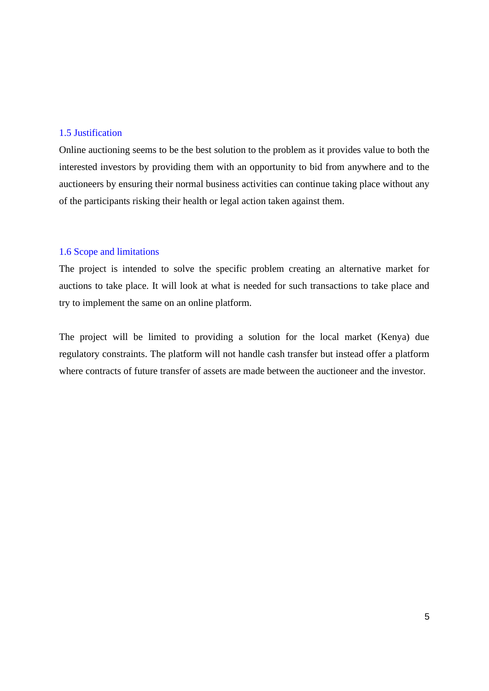# 1.5 Justification

Online auctioning seems to be the best solution to the problem as it provides value to both the interested investors by providing them with an opportunity to bid from anywhere and to the auctioneers by ensuring their normal business activities can continue taking place without any of the participants risking their health or legal action taken against them.

#### 1.6 Scope and limitations

The project is intended to solve the specific problem creating an alternative market for auctions to take place. It will look at what is needed for such transactions to take place and try to implement the same on an online platform.

The project will be limited to providing a solution for the local market (Kenya) due regulatory constraints. The platform will not handle cash transfer but instead offer a platform where contracts of future transfer of assets are made between the auctioneer and the investor.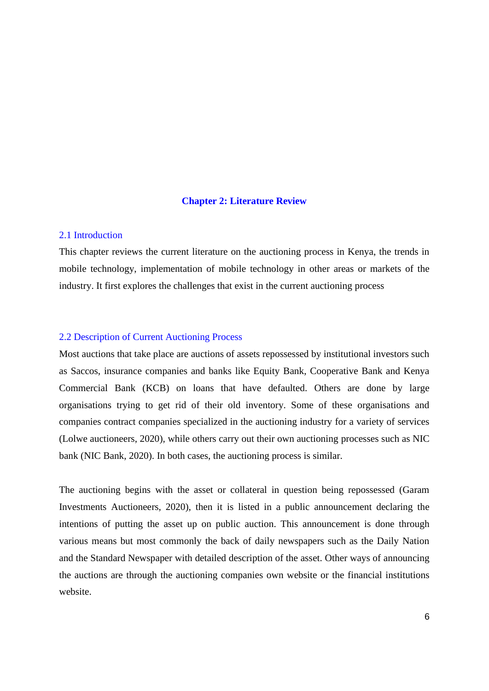#### **Chapter 2: Literature Review**

## 2.1 Introduction

This chapter reviews the current literature on the auctioning process in Kenya, the trends in mobile technology, implementation of mobile technology in other areas or markets of the industry. It first explores the challenges that exist in the current auctioning process

# 2.2 Description of Current Auctioning Process

Most auctions that take place are auctions of assets repossessed by institutional investors such as Saccos, insurance companies and banks like Equity Bank, Cooperative Bank and Kenya Commercial Bank (KCB) on loans that have defaulted. Others are done by large organisations trying to get rid of their old inventory. Some of these organisations and companies contract companies specialized in the auctioning industry for a variety of services (Lolwe auctioneers, 2020), while others carry out their own auctioning processes such as NIC bank (NIC Bank, 2020). In both cases, the auctioning process is similar.

The auctioning begins with the asset or collateral in question being repossessed (Garam Investments Auctioneers, 2020), then it is listed in a public announcement declaring the intentions of putting the asset up on public auction. This announcement is done through various means but most commonly the back of daily newspapers such as the Daily Nation and the Standard Newspaper with detailed description of the asset. Other ways of announcing the auctions are through the auctioning companies own website or the financial institutions website.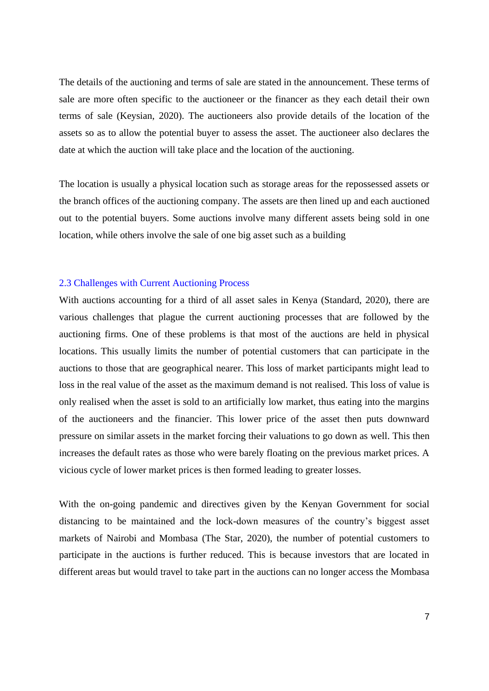The details of the auctioning and terms of sale are stated in the announcement. These terms of sale are more often specific to the auctioneer or the financer as they each detail their own terms of sale (Keysian, 2020). The auctioneers also provide details of the location of the assets so as to allow the potential buyer to assess the asset. The auctioneer also declares the date at which the auction will take place and the location of the auctioning.

The location is usually a physical location such as storage areas for the repossessed assets or the branch offices of the auctioning company. The assets are then lined up and each auctioned out to the potential buyers. Some auctions involve many different assets being sold in one location, while others involve the sale of one big asset such as a building

## 2.3 Challenges with Current Auctioning Process

With auctions accounting for a third of all asset sales in Kenya (Standard, 2020), there are various challenges that plague the current auctioning processes that are followed by the auctioning firms. One of these problems is that most of the auctions are held in physical locations. This usually limits the number of potential customers that can participate in the auctions to those that are geographical nearer. This loss of market participants might lead to loss in the real value of the asset as the maximum demand is not realised. This loss of value is only realised when the asset is sold to an artificially low market, thus eating into the margins of the auctioneers and the financier. This lower price of the asset then puts downward pressure on similar assets in the market forcing their valuations to go down as well. This then increases the default rates as those who were barely floating on the previous market prices. A vicious cycle of lower market prices is then formed leading to greater losses.

With the on-going pandemic and directives given by the Kenyan Government for social distancing to be maintained and the lock-down measures of the country's biggest asset markets of Nairobi and Mombasa (The Star, 2020), the number of potential customers to participate in the auctions is further reduced. This is because investors that are located in different areas but would travel to take part in the auctions can no longer access the Mombasa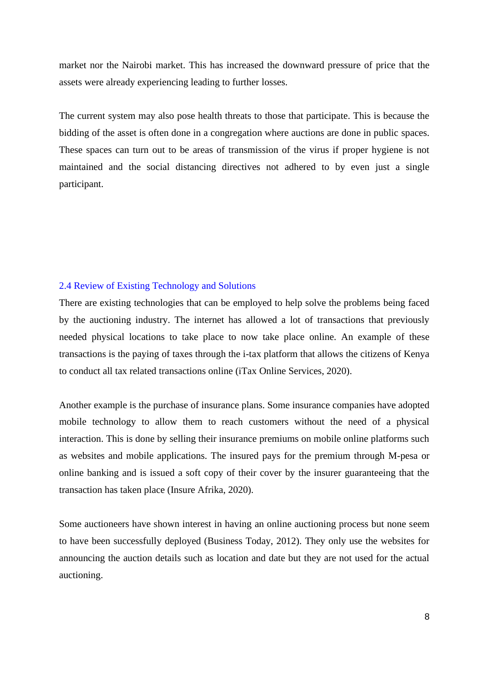market nor the Nairobi market. This has increased the downward pressure of price that the assets were already experiencing leading to further losses.

The current system may also pose health threats to those that participate. This is because the bidding of the asset is often done in a congregation where auctions are done in public spaces. These spaces can turn out to be areas of transmission of the virus if proper hygiene is not maintained and the social distancing directives not adhered to by even just a single participant.

# 2.4 Review of Existing Technology and Solutions

There are existing technologies that can be employed to help solve the problems being faced by the auctioning industry. The internet has allowed a lot of transactions that previously needed physical locations to take place to now take place online. An example of these transactions is the paying of taxes through the i-tax platform that allows the citizens of Kenya to conduct all tax related transactions online (iTax Online Services, 2020).

Another example is the purchase of insurance plans. Some insurance companies have adopted mobile technology to allow them to reach customers without the need of a physical interaction. This is done by selling their insurance premiums on mobile online platforms such as websites and mobile applications. The insured pays for the premium through M-pesa or online banking and is issued a soft copy of their cover by the insurer guaranteeing that the transaction has taken place (Insure Afrika, 2020).

Some auctioneers have shown interest in having an online auctioning process but none seem to have been successfully deployed (Business Today, 2012). They only use the websites for announcing the auction details such as location and date but they are not used for the actual auctioning.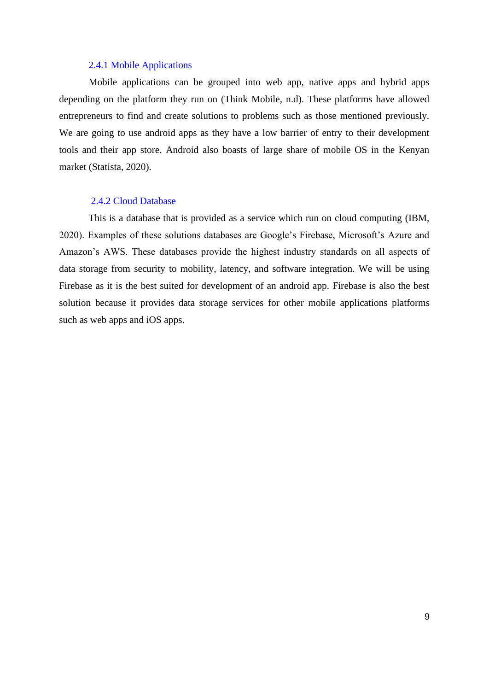## 2.4.1 Mobile Applications

Mobile applications can be grouped into web app, native apps and hybrid apps depending on the platform they run on (Think Mobile, n.d). These platforms have allowed entrepreneurs to find and create solutions to problems such as those mentioned previously. We are going to use android apps as they have a low barrier of entry to their development tools and their app store. Android also boasts of large share of mobile OS in the Kenyan market (Statista, 2020).

#### 2.4.2 Cloud Database

This is a database that is provided as a service which run on cloud computing (IBM, 2020). Examples of these solutions databases are Google's Firebase, Microsoft's Azure and Amazon's AWS. These databases provide the highest industry standards on all aspects of data storage from security to mobility, latency, and software integration. We will be using Firebase as it is the best suited for development of an android app. Firebase is also the best solution because it provides data storage services for other mobile applications platforms such as web apps and iOS apps.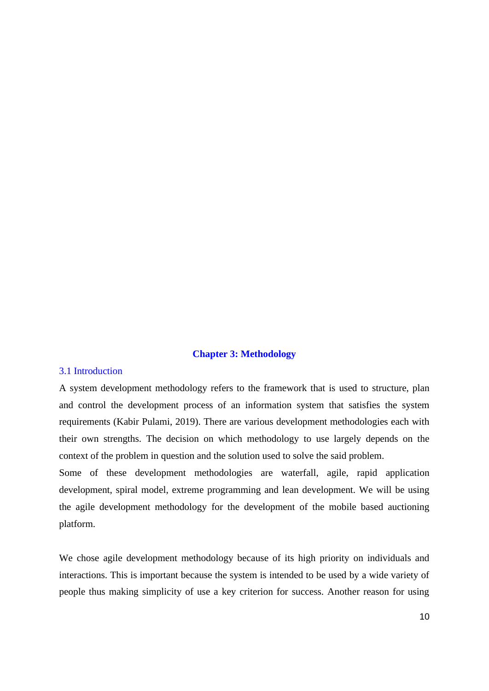# **Chapter 3: Methodology**

#### 3.1 Introduction

A system development methodology refers to the framework that is used to structure, plan and control the development process of an information system that satisfies the system requirements (Kabir Pulami, 2019). There are various development methodologies each with their own strengths. The decision on which methodology to use largely depends on the context of the problem in question and the solution used to solve the said problem.

Some of these development methodologies are waterfall, agile, rapid application development, spiral model, extreme programming and lean development. We will be using the agile development methodology for the development of the mobile based auctioning platform.

We chose agile development methodology because of its high priority on individuals and interactions. This is important because the system is intended to be used by a wide variety of people thus making simplicity of use a key criterion for success. Another reason for using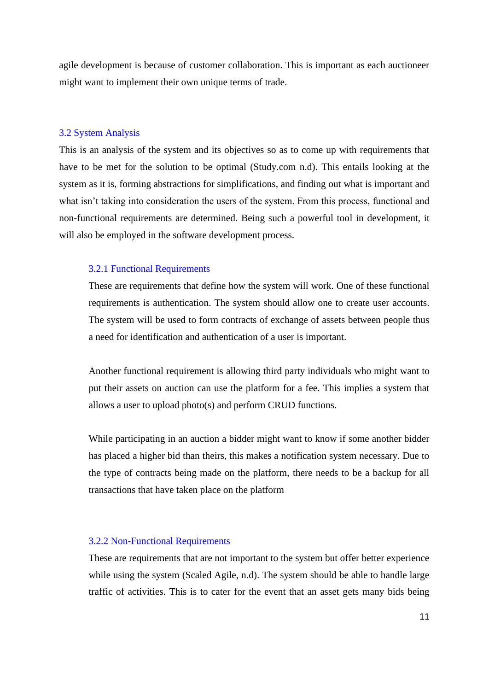agile development is because of customer collaboration. This is important as each auctioneer might want to implement their own unique terms of trade.

#### 3.2 System Analysis

This is an analysis of the system and its objectives so as to come up with requirements that have to be met for the solution to be optimal (Study.com n.d). This entails looking at the system as it is, forming abstractions for simplifications, and finding out what is important and what isn't taking into consideration the users of the system. From this process, functional and non-functional requirements are determined. Being such a powerful tool in development, it will also be employed in the software development process.

## 3.2.1 Functional Requirements

These are requirements that define how the system will work. One of these functional requirements is authentication. The system should allow one to create user accounts. The system will be used to form contracts of exchange of assets between people thus a need for identification and authentication of a user is important.

Another functional requirement is allowing third party individuals who might want to put their assets on auction can use the platform for a fee. This implies a system that allows a user to upload photo(s) and perform CRUD functions.

While participating in an auction a bidder might want to know if some another bidder has placed a higher bid than theirs, this makes a notification system necessary. Due to the type of contracts being made on the platform, there needs to be a backup for all transactions that have taken place on the platform

#### 3.2.2 Non-Functional Requirements

These are requirements that are not important to the system but offer better experience while using the system (Scaled Agile, n.d). The system should be able to handle large traffic of activities. This is to cater for the event that an asset gets many bids being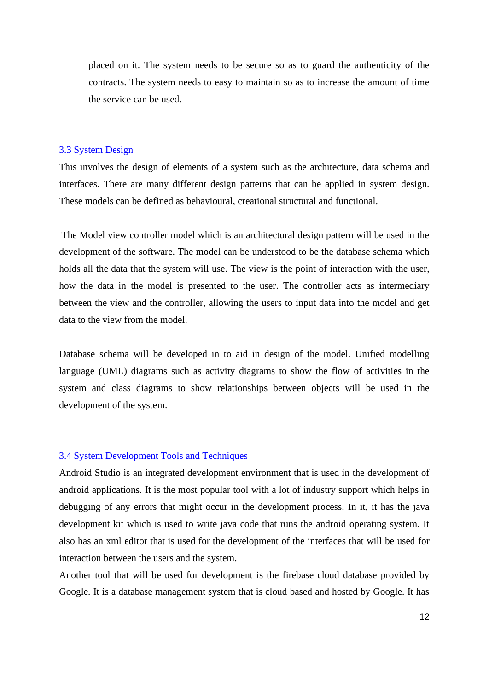placed on it. The system needs to be secure so as to guard the authenticity of the contracts. The system needs to easy to maintain so as to increase the amount of time the service can be used.

#### 3.3 System Design

This involves the design of elements of a system such as the architecture, data schema and interfaces. There are many different design patterns that can be applied in system design. These models can be defined as behavioural, creational structural and functional.

The Model view controller model which is an architectural design pattern will be used in the development of the software. The model can be understood to be the database schema which holds all the data that the system will use. The view is the point of interaction with the user, how the data in the model is presented to the user. The controller acts as intermediary between the view and the controller, allowing the users to input data into the model and get data to the view from the model.

Database schema will be developed in to aid in design of the model. Unified modelling language (UML) diagrams such as activity diagrams to show the flow of activities in the system and class diagrams to show relationships between objects will be used in the development of the system.

#### 3.4 System Development Tools and Techniques

Android Studio is an integrated development environment that is used in the development of android applications. It is the most popular tool with a lot of industry support which helps in debugging of any errors that might occur in the development process. In it, it has the java development kit which is used to write java code that runs the android operating system. It also has an xml editor that is used for the development of the interfaces that will be used for interaction between the users and the system.

Another tool that will be used for development is the firebase cloud database provided by Google. It is a database management system that is cloud based and hosted by Google. It has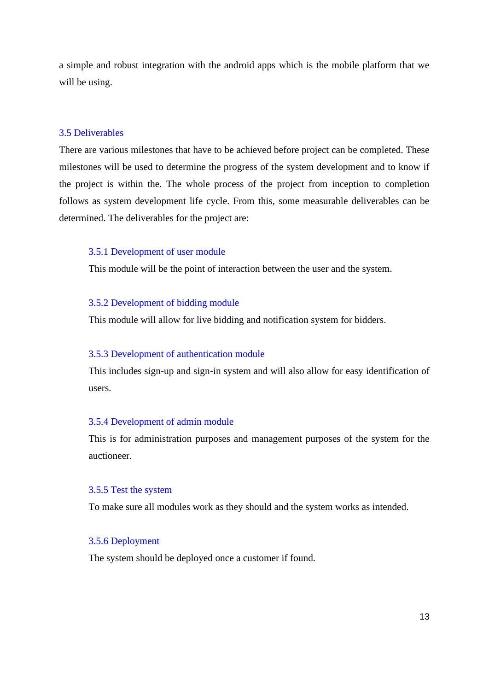a simple and robust integration with the android apps which is the mobile platform that we will be using.

## 3.5 Deliverables

There are various milestones that have to be achieved before project can be completed. These milestones will be used to determine the progress of the system development and to know if the project is within the. The whole process of the project from inception to completion follows as system development life cycle. From this, some measurable deliverables can be determined. The deliverables for the project are:

#### 3.5.1 Development of user module

This module will be the point of interaction between the user and the system.

## 3.5.2 Development of bidding module

This module will allow for live bidding and notification system for bidders.

#### 3.5.3 Development of authentication module

This includes sign-up and sign-in system and will also allow for easy identification of users.

### 3.5.4 Development of admin module

This is for administration purposes and management purposes of the system for the auctioneer.

# 3.5.5 Test the system

To make sure all modules work as they should and the system works as intended.

### 3.5.6 Deployment

The system should be deployed once a customer if found.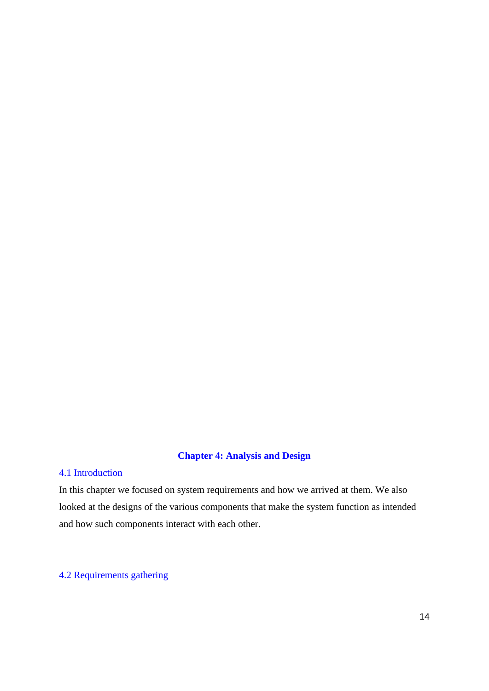# **Chapter 4: Analysis and Design**

# 4.1 Introduction

In this chapter we focused on system requirements and how we arrived at them. We also looked at the designs of the various components that make the system function as intended and how such components interact with each other.

# 4.2 Requirements gathering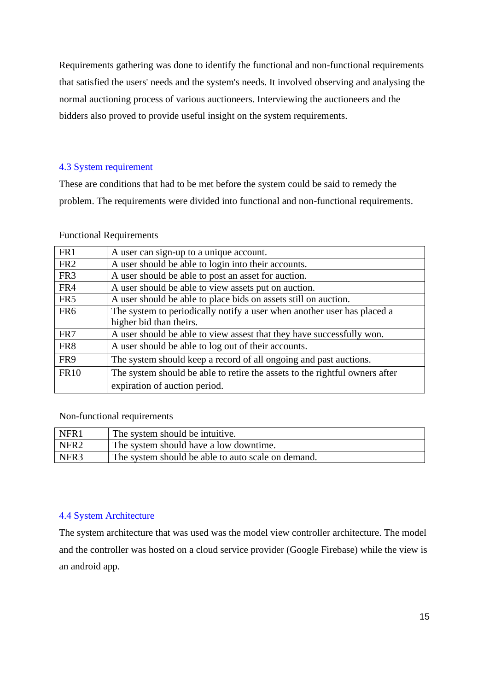Requirements gathering was done to identify the functional and non-functional requirements that satisfied the users' needs and the system's needs. It involved observing and analysing the normal auctioning process of various auctioneers. Interviewing the auctioneers and the bidders also proved to provide useful insight on the system requirements.

# 4.3 System requirement

These are conditions that had to be met before the system could be said to remedy the problem. The requirements were divided into functional and non-functional requirements.

## Functional Requirements

| A user can sign-up to a unique account.                                     |
|-----------------------------------------------------------------------------|
| A user should be able to login into their accounts.                         |
| A user should be able to post an asset for auction.                         |
| A user should be able to view assets put on auction.                        |
| A user should be able to place bids on assets still on auction.             |
| The system to periodically notify a user when another user has placed a     |
| higher bid than theirs.                                                     |
| A user should be able to view assest that they have successfully won.       |
| A user should be able to log out of their accounts.                         |
| The system should keep a record of all ongoing and past auctions.           |
| The system should be able to retire the assets to the rightful owners after |
| expiration of auction period.                                               |
|                                                                             |

# Non-functional requirements

| NFR1             | The system should be intuitive.                    |
|------------------|----------------------------------------------------|
| NFR <sub>2</sub> | The system should have a low downtime.             |
| NFR <sub>3</sub> | The system should be able to auto scale on demand. |

# 4.4 System Architecture

The system architecture that was used was the model view controller architecture. The model and the controller was hosted on a cloud service provider (Google Firebase) while the view is an android app.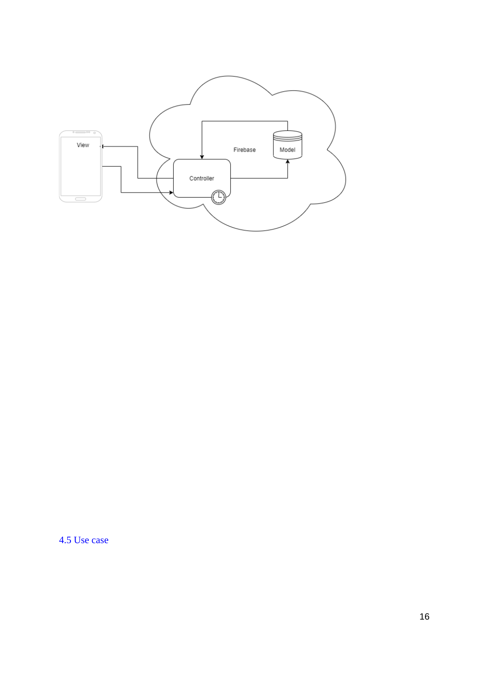

4.5 Use case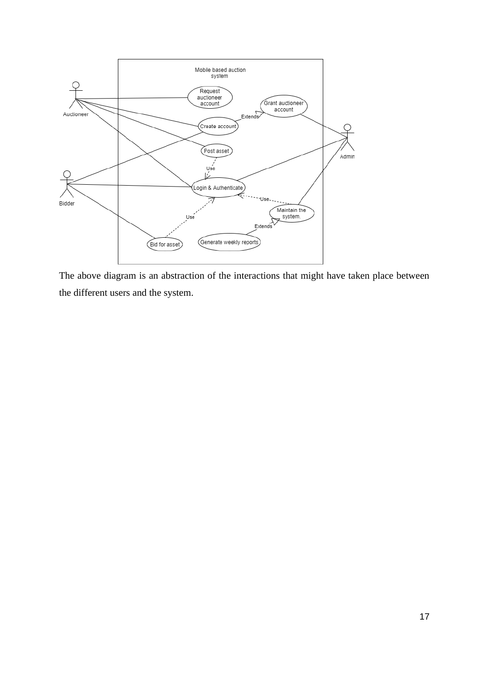

The above diagram is an abstraction of the interactions that might have taken place between the different users and the system.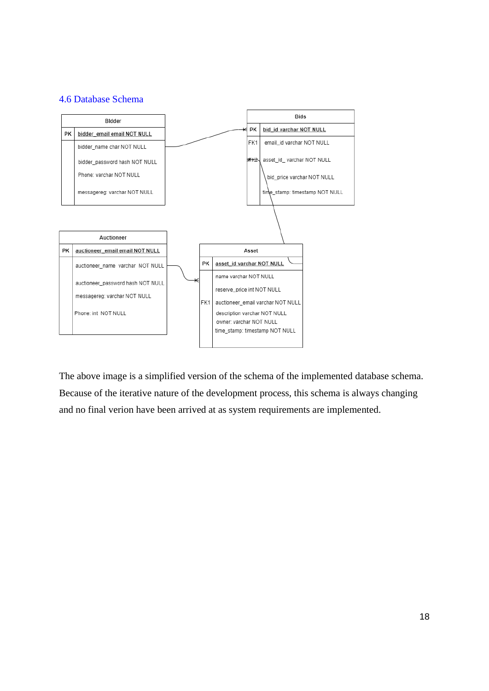# 4.6 Database Schema



The above image is a simplified version of the schema of the implemented database schema. Because of the iterative nature of the development process, this schema is always changing and no final verion have been arrived at as system requirements are implemented.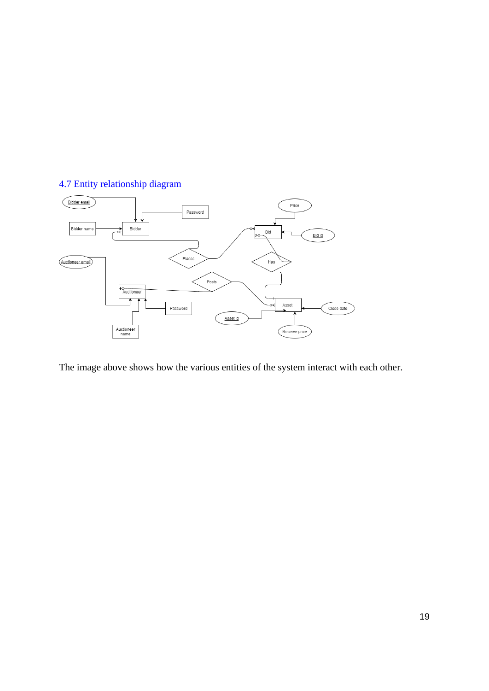# 4.7 Entity relationship diagram



The image above shows how the various entities of the system interact with each other.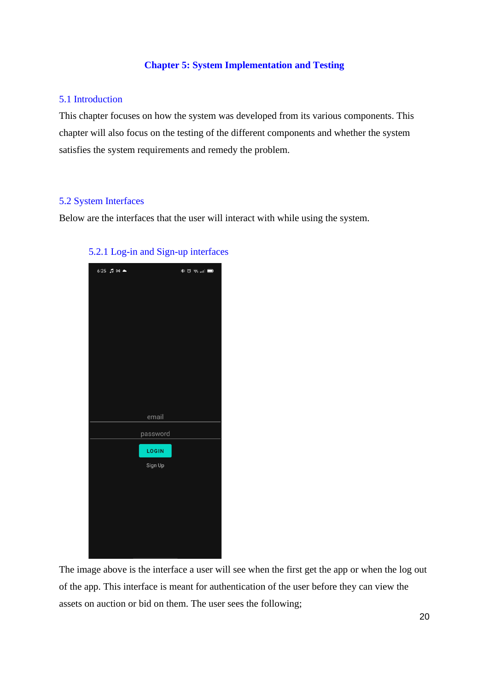# **Chapter 5: System Implementation and Testing**

# 5.1 Introduction

This chapter focuses on how the system was developed from its various components. This chapter will also focus on the testing of the different components and whether the system satisfies the system requirements and remedy the problem.

## 5.2 System Interfaces

Below are the interfaces that the user will interact with while using the system.



# 5.2.1 Log-in and Sign-up interfaces

The image above is the interface a user will see when the first get the app or when the log out of the app. This interface is meant for authentication of the user before they can view the assets on auction or bid on them. The user sees the following;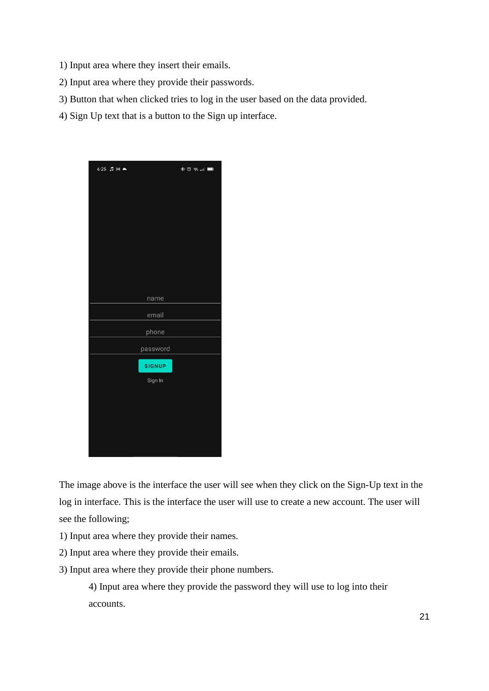- 1) Input area where they insert their emails.
- 2) Input area where they provide their passwords.
- 3) Button that when clicked tries to log in the user based on the data provided.
- 4) Sign Up text that is a button to the Sign up interface.



The image above is the interface the user will see when they click on the Sign-Up text in the log in interface. This is the interface the user will use to create a new account. The user will see the following;

- 1) Input area where they provide their names.
- 2) Input area where they provide their emails.
- 3) Input area where they provide their phone numbers.

4) Input area where they provide the password they will use to log into their accounts.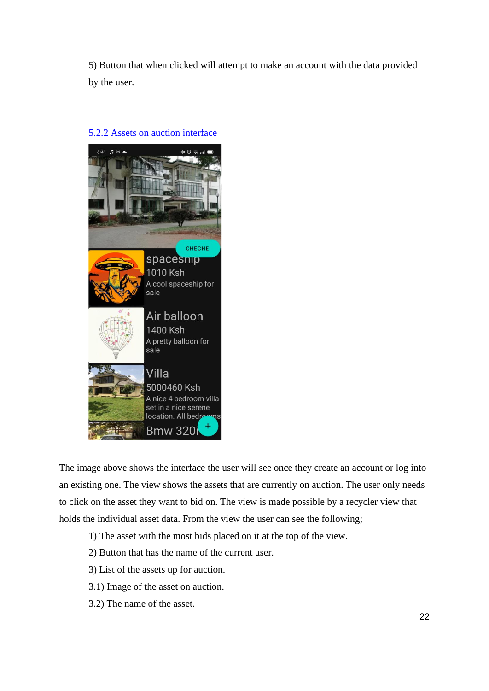5) Button that when clicked will attempt to make an account with the data provided by the user.



### 5.2.2 Assets on auction interface

The image above shows the interface the user will see once they create an account or log into an existing one. The view shows the assets that are currently on auction. The user only needs to click on the asset they want to bid on. The view is made possible by a recycler view that holds the individual asset data. From the view the user can see the following;

- 1) The asset with the most bids placed on it at the top of the view.
- 2) Button that has the name of the current user.
- 3) List of the assets up for auction.
- 3.1) Image of the asset on auction.
- 3.2) The name of the asset.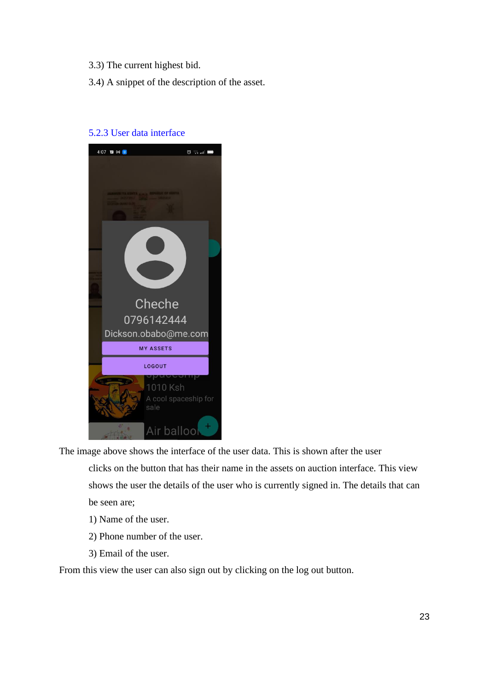- 3.3) The current highest bid.
- 3.4) A snippet of the description of the asset.



# 5.2.3 User data interface

The image above shows the interface of the user data. This is shown after the user clicks on the button that has their name in the assets on auction interface. This view shows the user the details of the user who is currently signed in. The details that can be seen are;

- 1) Name of the user.
- 2) Phone number of the user.
- 3) Email of the user.

From this view the user can also sign out by clicking on the log out button.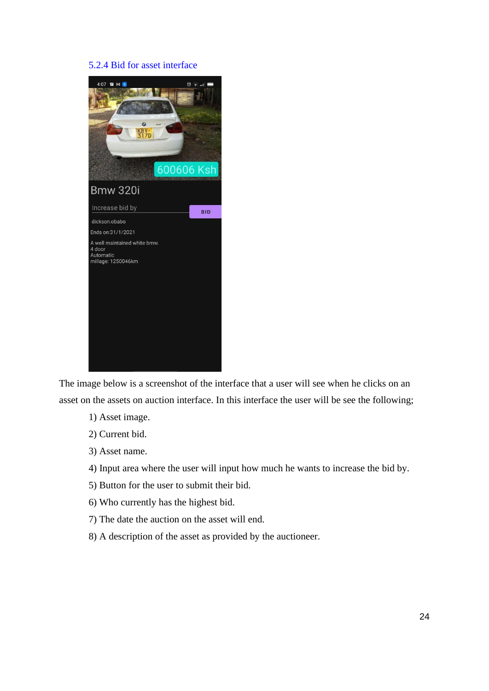# 5.2.4 Bid for asset interface



The image below is a screenshot of the interface that a user will see when he clicks on an asset on the assets on auction interface. In this interface the user will be see the following;

- 1) Asset image.
- 2) Current bid.
- 3) Asset name.
- 4) Input area where the user will input how much he wants to increase the bid by.
- 5) Button for the user to submit their bid.
- 6) Who currently has the highest bid.
- 7) The date the auction on the asset will end.
- 8) A description of the asset as provided by the auctioneer.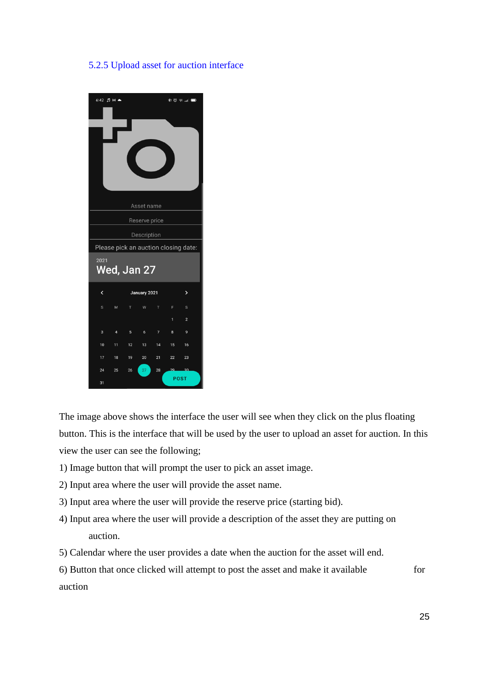# 5.2.5 Upload asset for auction interface



The image above shows the interface the user will see when they click on the plus floating button. This is the interface that will be used by the user to upload an asset for auction. In this view the user can see the following;

- 1) Image button that will prompt the user to pick an asset image.
- 2) Input area where the user will provide the asset name.
- 3) Input area where the user will provide the reserve price (starting bid).
- 4) Input area where the user will provide a description of the asset they are putting on auction.
- 5) Calendar where the user provides a date when the auction for the asset will end.
- 6) Button that once clicked will attempt to post the asset and make it available for auction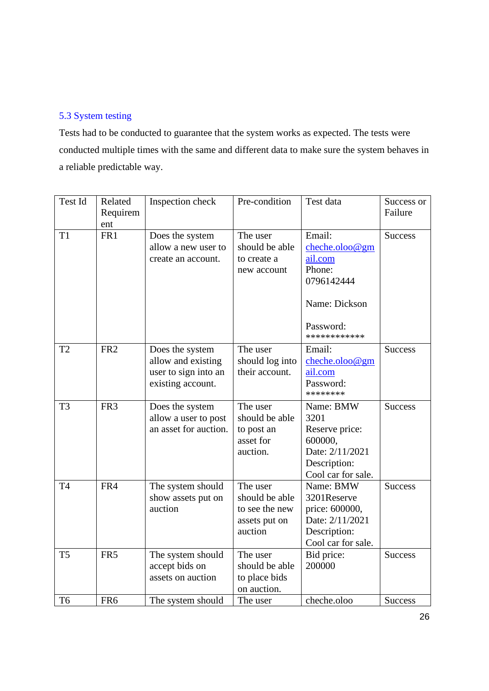# 5.3 System testing

Tests had to be conducted to guarantee that the system works as expected. The tests were conducted multiple times with the same and different data to make sure the system behaves in a reliable predictable way.

| Test Id        | Related<br>Requirem<br>ent | Inspection check                                                                   | Pre-condition                                                            | Test data                                                                                                 | Success or<br>Failure |
|----------------|----------------------------|------------------------------------------------------------------------------------|--------------------------------------------------------------------------|-----------------------------------------------------------------------------------------------------------|-----------------------|
| T <sub>1</sub> | FR1                        | Does the system<br>allow a new user to<br>create an account.                       | The user<br>should be able<br>to create a<br>new account                 | Email:<br>cheche.oloo@gm<br>ail.com<br>Phone:<br>0796142444<br>Name: Dickson<br>Password:<br>************ | <b>Success</b>        |
| T <sub>2</sub> | FR <sub>2</sub>            | Does the system<br>allow and existing<br>user to sign into an<br>existing account. | The user<br>should log into<br>their account.                            | Email:<br>cheche.oloo@gm<br>ail.com<br>Password:<br>********                                              | <b>Success</b>        |
| T <sub>3</sub> | FR <sub>3</sub>            | Does the system<br>allow a user to post<br>an asset for auction.                   | The user<br>should be able<br>to post an<br>asset for<br>auction.        | Name: BMW<br>3201<br>Reserve price:<br>600000,<br>Date: 2/11/2021<br>Description:<br>Cool car for sale.   | <b>Success</b>        |
| T <sub>4</sub> | FR4                        | The system should<br>show assets put on<br>auction                                 | The user<br>should be able<br>to see the new<br>assets put on<br>auction | Name: BMW<br>3201Reserve<br>price: 600000,<br>Date: 2/11/2021<br>Description:<br>Cool car for sale.       | <b>Success</b>        |
| T <sub>5</sub> | FR5                        | The system should<br>accept bids on<br>assets on auction                           | The user<br>should be able<br>to place bids<br>on auction.               | Bid price:<br>200000                                                                                      | <b>Success</b>        |
| T <sub>6</sub> | FR <sub>6</sub>            | The system should                                                                  | The user                                                                 | cheche.oloo                                                                                               | <b>Success</b>        |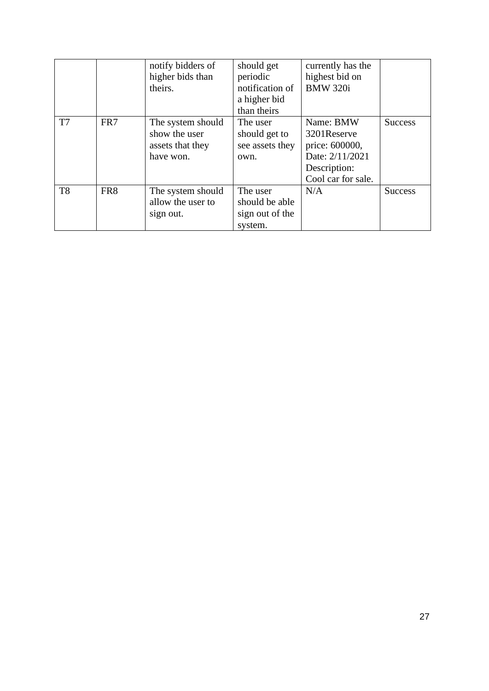|                |                 | notify bidders of<br>higher bids than<br>theirs.                    | should get<br>periodic<br>notification of<br>a higher bid<br>than theirs | currently has the<br>highest bid on<br><b>BMW 320i</b>                                              |                |
|----------------|-----------------|---------------------------------------------------------------------|--------------------------------------------------------------------------|-----------------------------------------------------------------------------------------------------|----------------|
| T <sub>7</sub> | FR7             | The system should<br>show the user<br>assets that they<br>have won. | The user<br>should get to<br>see assets they<br>own.                     | Name: BMW<br>3201Reserve<br>price: 600000,<br>Date: 2/11/2021<br>Description:<br>Cool car for sale. | <b>Success</b> |
| T <sub>8</sub> | FR <sub>8</sub> | The system should<br>allow the user to<br>sign out.                 | The user<br>should be able<br>sign out of the<br>system.                 | N/A                                                                                                 | <b>Success</b> |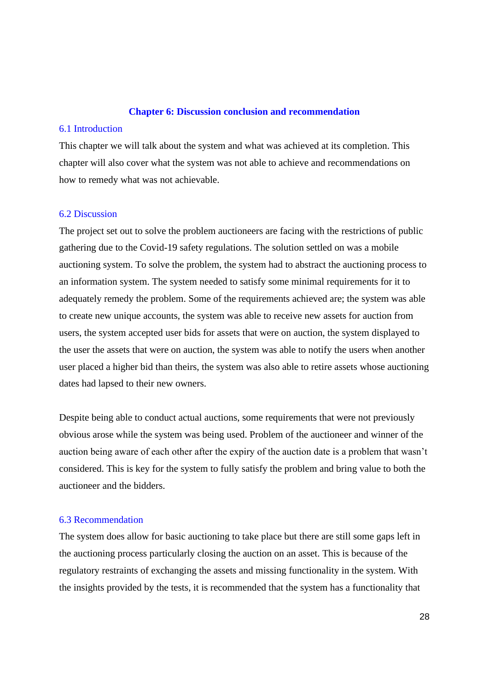#### **Chapter 6: Discussion conclusion and recommendation**

#### 6.1 Introduction

This chapter we will talk about the system and what was achieved at its completion. This chapter will also cover what the system was not able to achieve and recommendations on how to remedy what was not achievable.

# 6.2 Discussion

The project set out to solve the problem auctioneers are facing with the restrictions of public gathering due to the Covid-19 safety regulations. The solution settled on was a mobile auctioning system. To solve the problem, the system had to abstract the auctioning process to an information system. The system needed to satisfy some minimal requirements for it to adequately remedy the problem. Some of the requirements achieved are; the system was able to create new unique accounts, the system was able to receive new assets for auction from users, the system accepted user bids for assets that were on auction, the system displayed to the user the assets that were on auction, the system was able to notify the users when another user placed a higher bid than theirs, the system was also able to retire assets whose auctioning dates had lapsed to their new owners.

Despite being able to conduct actual auctions, some requirements that were not previously obvious arose while the system was being used. Problem of the auctioneer and winner of the auction being aware of each other after the expiry of the auction date is a problem that wasn't considered. This is key for the system to fully satisfy the problem and bring value to both the auctioneer and the bidders.

# 6.3 Recommendation

The system does allow for basic auctioning to take place but there are still some gaps left in the auctioning process particularly closing the auction on an asset. This is because of the regulatory restraints of exchanging the assets and missing functionality in the system. With the insights provided by the tests, it is recommended that the system has a functionality that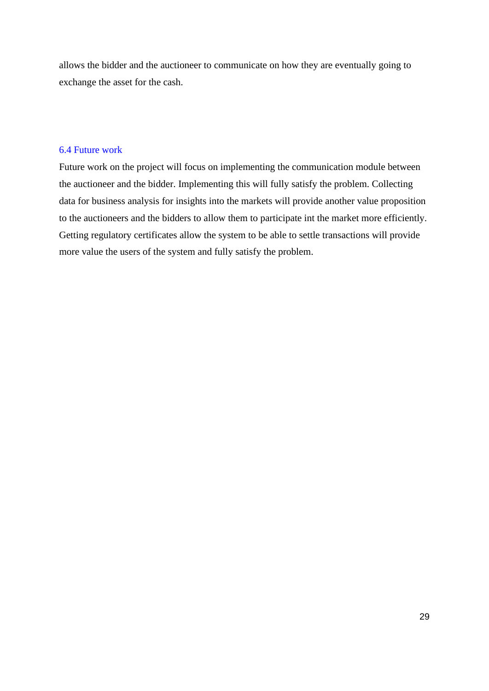allows the bidder and the auctioneer to communicate on how they are eventually going to exchange the asset for the cash.

## 6.4 Future work

Future work on the project will focus on implementing the communication module between the auctioneer and the bidder. Implementing this will fully satisfy the problem. Collecting data for business analysis for insights into the markets will provide another value proposition to the auctioneers and the bidders to allow them to participate int the market more efficiently. Getting regulatory certificates allow the system to be able to settle transactions will provide more value the users of the system and fully satisfy the problem.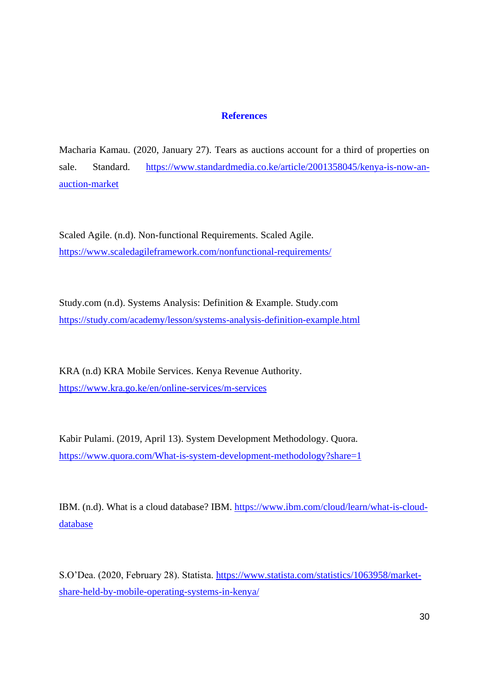# **References**

Macharia Kamau. (2020, January 27). Tears as auctions account for a third of properties on sale. Standard. [https://www.standardmedia.co.ke/article/2001358045/kenya-is-now-an](https://www.standardmedia.co.ke/article/2001358045/kenya-is-now-an-auction-market)[auction-market](https://www.standardmedia.co.ke/article/2001358045/kenya-is-now-an-auction-market)

Scaled Agile. (n.d). Non-functional Requirements. Scaled Agile. <https://www.scaledagileframework.com/nonfunctional-requirements/>

Study.com (n.d). Systems Analysis: Definition & Example. Study.com <https://study.com/academy/lesson/systems-analysis-definition-example.html>

KRA (n.d) KRA Mobile Services. Kenya Revenue Authority. <https://www.kra.go.ke/en/online-services/m-services>

Kabir Pulami. (2019, April 13). System Development Methodology. Quora. <https://www.quora.com/What-is-system-development-methodology?share=1>

IBM. (n.d). What is a cloud database? IBM. [https://www.ibm.com/cloud/learn/what-is-cloud](https://www.ibm.com/cloud/learn/what-is-cloud-database)[database](https://www.ibm.com/cloud/learn/what-is-cloud-database)

S.O'Dea. (2020, February 28). Statista. [https://www.statista.com/statistics/1063958/market](https://www.statista.com/statistics/1063958/market-share-held-by-mobile-operating-systems-in-kenya/)[share-held-by-mobile-operating-systems-in-kenya/](https://www.statista.com/statistics/1063958/market-share-held-by-mobile-operating-systems-in-kenya/)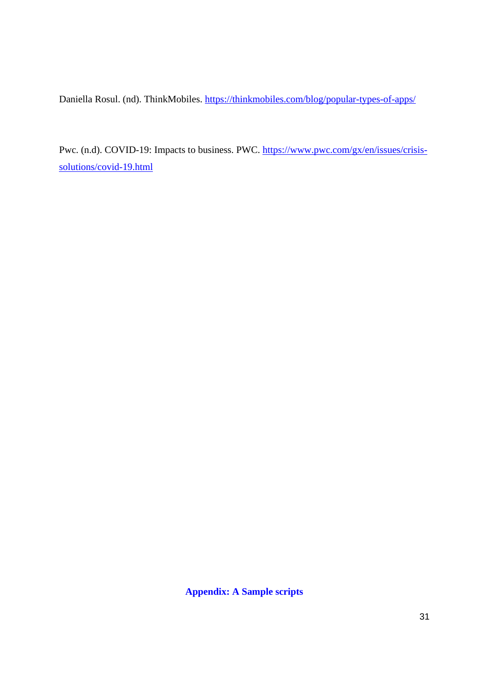Daniella Rosul. (nd). ThinkMobiles.<https://thinkmobiles.com/blog/popular-types-of-apps/>

Pwc. (n.d). COVID-19: Impacts to business. PWC. [https://www.pwc.com/gx/en/issues/crisis](https://www.pwc.com/gx/en/issues/crisis-solutions/covid-19.html)[solutions/covid-19.html](https://www.pwc.com/gx/en/issues/crisis-solutions/covid-19.html)

**Appendix: A Sample scripts**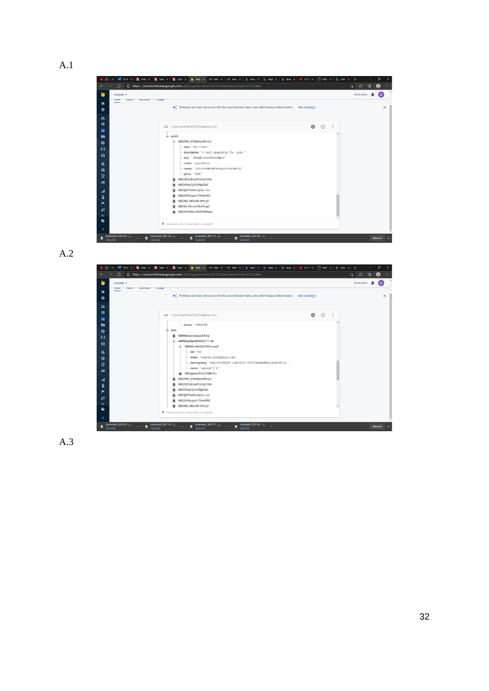

A.2

| <b>USaye</b>                                                                                                    |           |          | Go to docs | n.       |
|-----------------------------------------------------------------------------------------------------------------|-----------|----------|------------|----------|
| → Prototype and test end-to-end with the Local Emulator Suite, now with Firebase Authentication Get started [2] |           |          |            | $\times$ |
| CD https://android-a6732.firebaseio.com/                                                                        | $\bullet$ | $\Theta$ |            |          |
| phone: '5893288"                                                                                                |           |          |            |          |
| $\triangle$ bids                                                                                                |           |          |            |          |
| - - MMMcesjry Qxyjx XIRAq<br>o<br>-- - MMMcpWpoKkX03nT7-HA                                                      |           |          |            |          |
| -- - MMMcwWsHjF0SSicoewF                                                                                        |           |          |            |          |
| bid: 758                                                                                                        |           |          |            |          |
| email: "cheche.oloo@gmail.com"                                                                                  |           |          |            |          |
| - messagereg: "ep8LnKiFK6PxF_UJnFsPZZ:APA91bG4on9QccIwzi65UPJi"                                                 |           |          |            |          |
| - name: "second I'd "                                                                                           |           |          |            |          |
| -MS2gh6x69xZufIQRCVu<br>m-MS2W8_G7kStkkzlWmxY                                                                   |           |          |            |          |
| -MS2XCE0EexPCzYq7CVe                                                                                            |           |          |            |          |
| -MS2i9AkCjk3t2NpEi6b                                                                                            |           |          |            |          |
| m-MS2jXPHu9xcSp3u--rm                                                                                           |           |          |            |          |
|                                                                                                                 |           |          |            |          |
| -MS35HKygylv1P6whfRC<br>-MS36B_WGu8N-It9tLj9                                                                    |           |          |            |          |

A.3